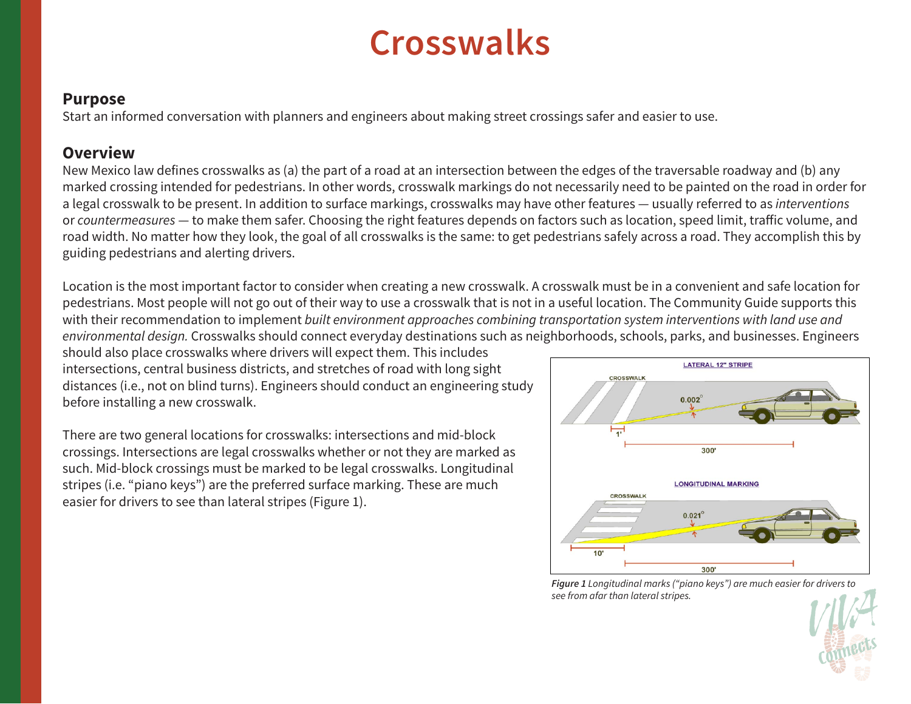# **Crosswalks**

#### **Purpose**

Start an informed conversation with planners and engineers about making street crossings safer and easier to use.

## **Overview**

New Mexico law defines crosswalks as (a) the part of a road at an intersection between the edges of the traversable roadway and (b) any marked crossing intended for pedestrians. In other words, crosswalk markings do not necessarily need to be painted on the road in order for a legal crosswalk to be present. In addition to surface markings, crosswalks may have other features — usually referred to as *interventions* or *countermeasures* — to make them safer. Choosing the right features depends on factors such as location, speed limit, traffic volume, and road width. No matter how they look, the goal of all crosswalks is the same: to get pedestrians safely across a road. They accomplish this by guiding pedestrians and alerting drivers.

Location is the most important factor to consider when creating a new crosswalk. A crosswalk must be in a convenient and safe location for pedestrians. Most people will not go out of their way to use a crosswalk that is not in a useful location. The Community Guide supports this with their recommendation to implement *built environment approaches combining transportation system interventions with land use and environmental design.* Crosswalks should connect everyday destinations such as neighborhoods, schools, parks, and businesses. Engineers

should also place crosswalks where drivers will expect them. This includes intersections, central business districts, and stretches of road with long sight distances (i.e., not on blind turns). Engineers should conduct an engineering study before installing a new crosswalk.

There are two general locations for crosswalks: intersections and mid-block crossings. Intersections are legal crosswalks whether or not they are marked as such. Mid-block crossings must be marked to be legal crosswalks. Longitudinal stripes (i.e. "piano keys") are the preferred surface marking. These are much easier for drivers to see than lateral stripes (Figure 1).



*Figure 1 Longitudinal marks ("piano keys") are much easier for drivers to see from afar than lateral stripes.*

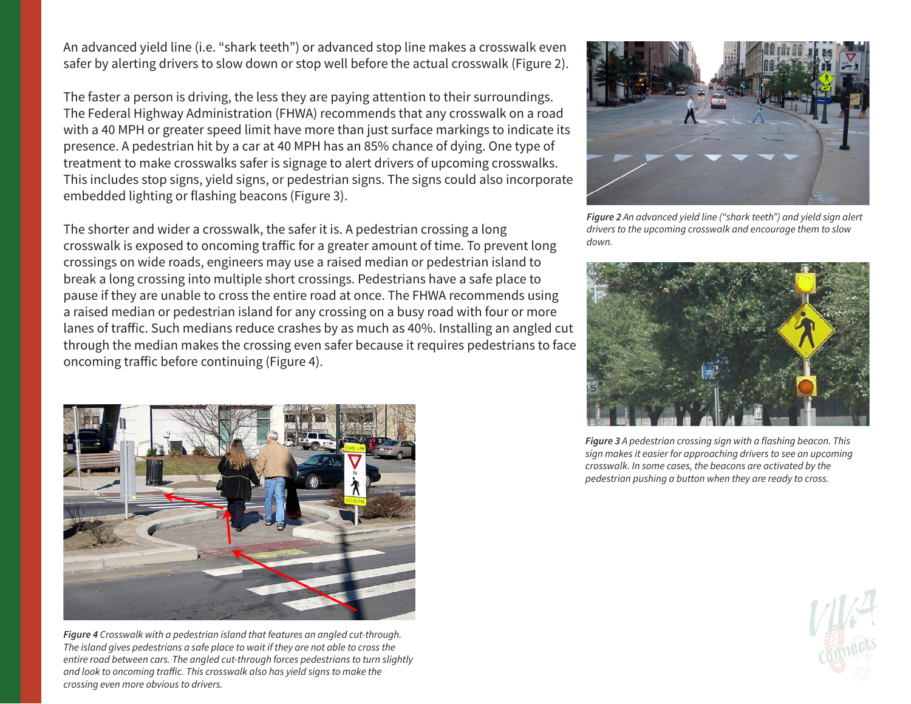An advanced yield line (i.e. "shark teeth") or advanced stop line makes a crosswalk even safer by alerting drivers to slow down or stop well before the actual crosswalk (Figure 2).

The faster a person is driving, the less they are paying attention to their surroundings. The Federal Highway Administration (FHWA) recommends that any crosswalk on a road with a 40 MPH or greater speed limit have more than just surface markings to indicate its presence. A pedestrian hit by a car at 40 MPH has an 85% chance of dying. One type of treatment to make crosswalks safer is signage to alert drivers of upcoming crosswalks. This includes stop signs, yield signs, or pedestrian signs. The signs could also incorporate embedded lighting or flashing beacons (Figure 3).

The shorter and wider a crosswalk, the safer it is. A pedestrian crossing a long crosswalk is exposed to oncoming traffic for a greater amount of time. To prevent long crossings on wide roads, engineers may use a raised median or pedestrian island to break a long crossing into multiple short crossings. Pedestrians have a safe place to pause if they are unable to cross the entire road at once. The FHWA recommends using a raised median or pedestrian island for any crossing on a busy road with four or more lanes of traffic. Such medians reduce crashes by as much as 40%. Installing an angled cut through the median makes the crossing even safer because it requires pedestrians to face oncoming traffic before continuing (Figure 4).



*Figure 2 An advanced yield line ("shark teeth") and yield sign alert drivers to the upcoming crosswalk and encourage them to slow down.*









*Figure 4 Crosswalk with a pedestrian island that features an angled cut-through. The island gives pedestrians a safe place to wait if they are not able to cross the entire road between cars. The angled cut-through forces pedestrians to turn slightly and look to oncoming traffic. This crosswalk also has yield signs to make the crossing even more obvious to drivers.*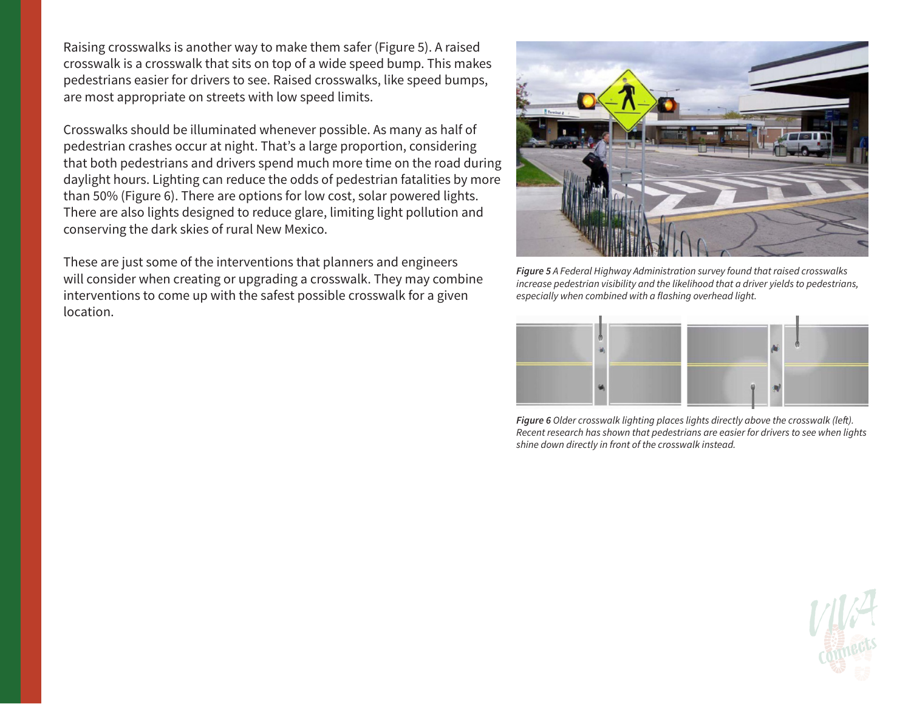Raising crosswalks is another way to make them safer (Figure 5). A raised crosswalk is a crosswalk that sits on top of a wide speed bump. This makes pedestrians easier for drivers to see. Raised crosswalks, like speed bumps, are most appropriate on streets with low speed limits.

Crosswalks should be illuminated whenever possible. As many as half of pedestrian crashes occur at night. That's a large proportion, considering that both pedestrians and drivers spend much more time on the road during daylight hours. Lighting can reduce the odds of pedestrian fatalities by more than 50% (Figure 6). There are options for low cost, solar powered lights. There are also lights designed to reduce glare, limiting light pollution and conserving the dark skies of rural New Mexico.

These are just some of the interventions that planners and engineers will consider when creating or upgrading a crosswalk. They may combine interventions to come up with the safest possible crosswalk for a given location.



*Figure 5 A Federal Highway Administration survey found that raised crosswalks increase pedestrian visibility and the likelihood that a driver yields to pedestrians, especially when combined with a flashing overhead light.*



*Figure 6 Older crosswalk lighting places lights directly above the crosswalk (left). Recent research has shown that pedestrians are easier for drivers to see when lights shine down directly in front of the crosswalk instead.*

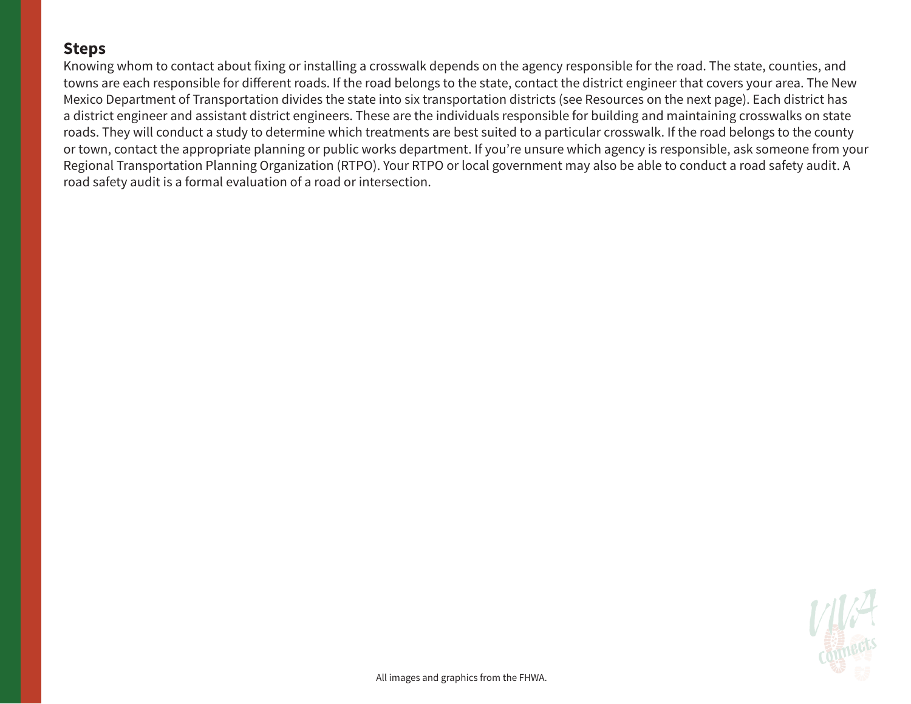### **Steps**

Knowing whom to contact about fixing or installing a crosswalk depends on the agency responsible for the road. The state, counties, and towns are each responsible for different roads. If the road belongs to the state, contact the district engineer that covers your area. The New Mexico Department of Transportation divides the state into six transportation districts (see Resources on the next page). Each district has a district engineer and assistant district engineers. These are the individuals responsible for building and maintaining crosswalks on state roads. They will conduct a study to determine which treatments are best suited to a particular crosswalk. If the road belongs to the county or town, contact the appropriate planning or public works department. If you're unsure which agency is responsible, ask someone from your Regional Transportation Planning Organization (RTPO). Your RTPO or local government may also be able to conduct a road safety audit. A road safety audit is a formal evaluation of a road or intersection.

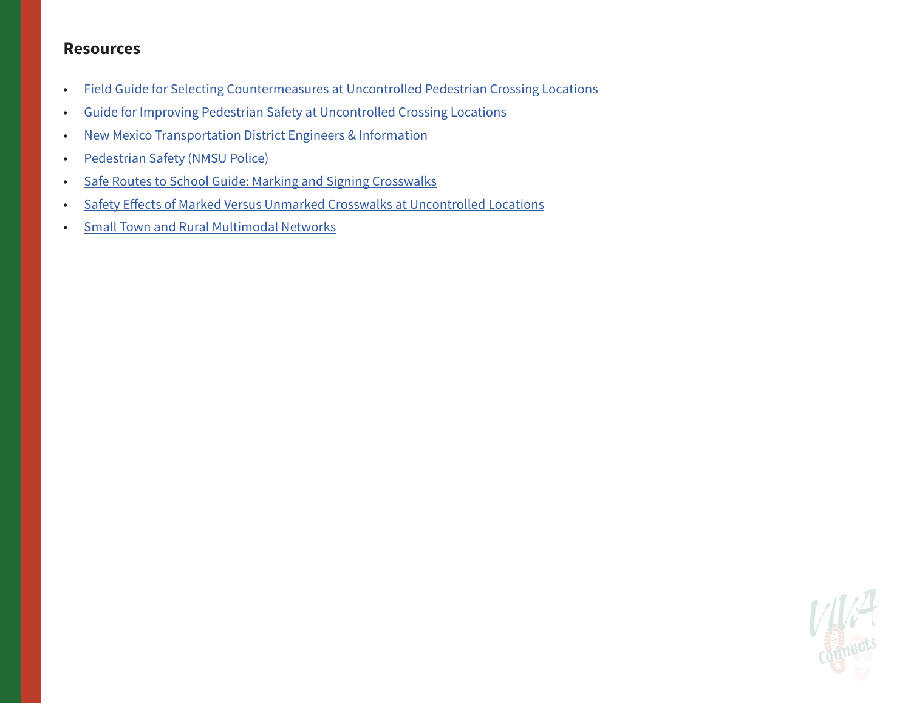#### **Resources**

- [Field Guide for Selecting Countermeasures at Uncontrolled Pedestrian Crossing Locations](https://safety.fhwa.dot.gov/ped_bike/step/docs/pocket_version.pdf)
- [Guide for Improving Pedestrian Safety at Uncontrolled Crossing Locations](https://www.fhwa.dot.gov/innovation/everydaycounts/edc_4/guide_to_improve_uncontrolled_crossings.pdf)
- [New Mexico Transportation District Engineers & Information](http://dot.state.nm.us/content/nmdot/en/Districts.html)
- [Pedestrian Safety \(NMSU Police\)](https://www.nmsupolice.com/pedestrian-safety-2/)
- [Safe Routes to School Guide: Marking and Signing Crosswalks](http://guide.saferoutesinfo.org/engineering/marked_crosswalks.cfm)
- [Safety Effects of Marked Versus Unmarked Crosswalks at Uncontrolled Locations](https://www.fhwa.dot.gov/publications/research/safety/04100/04100.pdf)
- [Small Town and Rural Multimodal Networks](https://www.fhwa.dot.gov/environment/bicycle_pedestrian/publications/small_towns/)